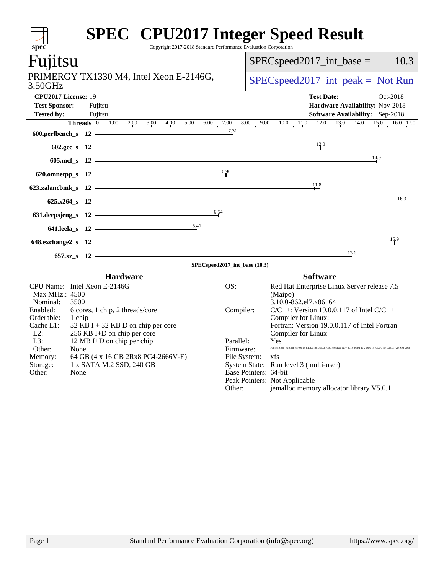| $\overline{\text{spec}^*}$<br>Copyright 2017-2018 Standard Performance Evaluation Corporation                                                                                                                                                                                                                                                                                                                                                                                                        | <b>SPEC<sup>®</sup></b> CPU2017 Integer Speed Result                                                                                                                                                                                                                                                                                                                                                                                                                                                                                              |
|------------------------------------------------------------------------------------------------------------------------------------------------------------------------------------------------------------------------------------------------------------------------------------------------------------------------------------------------------------------------------------------------------------------------------------------------------------------------------------------------------|---------------------------------------------------------------------------------------------------------------------------------------------------------------------------------------------------------------------------------------------------------------------------------------------------------------------------------------------------------------------------------------------------------------------------------------------------------------------------------------------------------------------------------------------------|
| Fujitsu                                                                                                                                                                                                                                                                                                                                                                                                                                                                                              | $SPEC speed2017\_int\_base =$<br>10.3                                                                                                                                                                                                                                                                                                                                                                                                                                                                                                             |
| PRIMERGY TX1330 M4, Intel Xeon E-2146G,<br>3.50GHz                                                                                                                                                                                                                                                                                                                                                                                                                                                   | $SPEC speed2017\_int\_peak = Not Run$                                                                                                                                                                                                                                                                                                                                                                                                                                                                                                             |
| CPU2017 License: 19<br><b>Test Sponsor:</b><br>Fujitsu<br><b>Tested by:</b><br>Fujitsu                                                                                                                                                                                                                                                                                                                                                                                                               | <b>Test Date:</b><br>Oct-2018<br>Hardware Availability: Nov-2018<br><b>Software Availability:</b> Sep-2018                                                                                                                                                                                                                                                                                                                                                                                                                                        |
|                                                                                                                                                                                                                                                                                                                                                                                                                                                                                                      |                                                                                                                                                                                                                                                                                                                                                                                                                                                                                                                                                   |
| $602 \sec s$ 12<br>605.mcf_s 12 $\vdash$                                                                                                                                                                                                                                                                                                                                                                                                                                                             | 12.0<br>14.9                                                                                                                                                                                                                                                                                                                                                                                                                                                                                                                                      |
| 620.omnetpp_s 12 $\frac{6.96}{4}$                                                                                                                                                                                                                                                                                                                                                                                                                                                                    |                                                                                                                                                                                                                                                                                                                                                                                                                                                                                                                                                   |
| <u> 1989 - Johann Stein, mars an t-Amerikaansk kommunister (</u><br>623.xalancbmk_s $12$<br>$625.x264_s$ 12                                                                                                                                                                                                                                                                                                                                                                                          | $\frac{11.8}{11}$<br>16.3                                                                                                                                                                                                                                                                                                                                                                                                                                                                                                                         |
| 631. deepsjeng_s 12 $\overline{)$ 6.54                                                                                                                                                                                                                                                                                                                                                                                                                                                               |                                                                                                                                                                                                                                                                                                                                                                                                                                                                                                                                                   |
| 641.leela_s 12 $\frac{5.41}{1}$<br>$648$ .exchange $2$ _s 12                                                                                                                                                                                                                                                                                                                                                                                                                                         | 15.9                                                                                                                                                                                                                                                                                                                                                                                                                                                                                                                                              |
| $657.xz$ 8 12                                                                                                                                                                                                                                                                                                                                                                                                                                                                                        | 13.6                                                                                                                                                                                                                                                                                                                                                                                                                                                                                                                                              |
| SPECspeed2017_int_base (10.3)                                                                                                                                                                                                                                                                                                                                                                                                                                                                        |                                                                                                                                                                                                                                                                                                                                                                                                                                                                                                                                                   |
| <b>Hardware</b><br>CPU Name: Intel Xeon E-2146G<br>OS:<br>Max MHz.: 4500<br>Nominal:<br>3500<br>Enabled:<br>6 cores, 1 chip, 2 threads/core<br>Compiler:<br>Orderable:<br>1 chip<br>Cache L1:<br>$32$ KB I + 32 KB D on chip per core<br>$L2$ :<br>256 KB I+D on chip per core<br>L3:<br>12 MB I+D on chip per chip<br>Parallel:<br>Firmware:<br>Other:<br>None<br>64 GB (4 x 16 GB 2Rx8 PC4-2666V-E)<br>File System:<br>Memory:<br>Storage:<br>1 x SATA M.2 SSD, 240 GB<br>Other:<br>None<br>Other: | <b>Software</b><br>Red Hat Enterprise Linux Server release 7.5<br>(Maipo)<br>3.10.0-862.el7.x86_64<br>$C/C++$ : Version 19.0.0.117 of Intel $C/C++$<br>Compiler for Linux;<br>Fortran: Version 19.0.0.117 of Intel Fortran<br>Compiler for Linux<br><b>Yes</b><br>Fujitsu BIOS Version V5.0.0.13 R1.4.0 for D3673-A1x. Released Nov-2018 tested as V5.0.0.13 R1.0.0 for D3673-A1x Sep-2018<br>xfs<br>System State: Run level 3 (multi-user)<br>Base Pointers: 64-bit<br>Peak Pointers: Not Applicable<br>jemalloc memory allocator library V5.0.1 |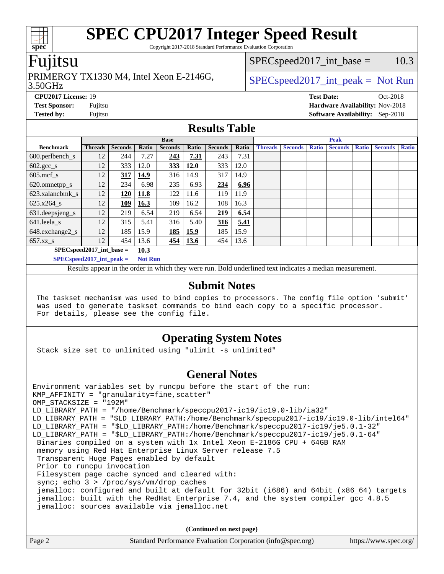Copyright 2017-2018 Standard Performance Evaluation Corporation

#### Fujitsu

### PRIMERGY TX1330 M4, Intel Xeon E-2146G,  $\vert$  [SPECspeed2017\\_int\\_peak =](http://www.spec.org/auto/cpu2017/Docs/result-fields.html#SPECspeed2017intpeak) Not Run

 $SPEC speed2017\_int\_base = 10.3$ 

#### 3.50GHz

**[CPU2017 License:](http://www.spec.org/auto/cpu2017/Docs/result-fields.html#CPU2017License)** 19 **[Test Date:](http://www.spec.org/auto/cpu2017/Docs/result-fields.html#TestDate)** Oct-2018 **[Test Sponsor:](http://www.spec.org/auto/cpu2017/Docs/result-fields.html#TestSponsor)** Fujitsu **[Hardware Availability:](http://www.spec.org/auto/cpu2017/Docs/result-fields.html#HardwareAvailability)** Nov-2018

**[Tested by:](http://www.spec.org/auto/cpu2017/Docs/result-fields.html#Testedby)** Fujitsu **[Software Availability:](http://www.spec.org/auto/cpu2017/Docs/result-fields.html#SoftwareAvailability)** Sep-2018

## **[Results Table](http://www.spec.org/auto/cpu2017/Docs/result-fields.html#ResultsTable)**

|                             | <b>Base</b>    |                |       |                |             |                | <b>Peak</b> |                |                |              |                |              |                |              |
|-----------------------------|----------------|----------------|-------|----------------|-------------|----------------|-------------|----------------|----------------|--------------|----------------|--------------|----------------|--------------|
| <b>Benchmark</b>            | <b>Threads</b> | <b>Seconds</b> | Ratio | <b>Seconds</b> | Ratio       | <b>Seconds</b> | Ratio       | <b>Threads</b> | <b>Seconds</b> | <b>Ratio</b> | <b>Seconds</b> | <b>Ratio</b> | <b>Seconds</b> | <b>Ratio</b> |
| $600.$ perlbench_s          | 12             | 244            | 7.27  | 243            | 7.31        | 243            | 7.31        |                |                |              |                |              |                |              |
| $602.\text{gcc}\_\text{s}$  | 12             | 333            | 12.0  | 333            | <b>12.0</b> | 333            | 12.0        |                |                |              |                |              |                |              |
| $605$ .mcf s                | 12             | 317            | 14.9  | 316            | 14.9        | 317            | 14.9        |                |                |              |                |              |                |              |
| 620.omnetpp_s               | 12             | 234            | 6.98  | 235            | 6.93        | 234            | 6.96        |                |                |              |                |              |                |              |
| 623.xalancbmk s             | 12             | 120            | 11.8  | 122            | 11.6        | 119            | 11.9        |                |                |              |                |              |                |              |
| 625.x264 s                  | 12             | 109            | 16.3  | 109            | 16.2        | 108            | 16.3        |                |                |              |                |              |                |              |
| 631.deepsjeng_s             | 12             | 219            | 6.54  | 219            | 6.54        | 219            | 6.54        |                |                |              |                |              |                |              |
| 641.leela s                 | 12             | 315            | 5.41  | 316            | 5.40        | 316            | 5.41        |                |                |              |                |              |                |              |
| 648.exchange2_s             | 12             | 185            | 15.9  | 185            | 15.9        | 185            | 15.9        |                |                |              |                |              |                |              |
| $657.xz$ s                  | 12             | 454            | 13.6  | 454            | 13.6        | 454            | 13.6        |                |                |              |                |              |                |              |
| $SPEC speed2017$ int base = |                |                | 10.3  |                |             |                |             |                |                |              |                |              |                |              |

**[SPECspeed2017\\_int\\_peak =](http://www.spec.org/auto/cpu2017/Docs/result-fields.html#SPECspeed2017intpeak) Not Run**

Results appear in the [order in which they were run.](http://www.spec.org/auto/cpu2017/Docs/result-fields.html#RunOrder) Bold underlined text [indicates a median measurement.](http://www.spec.org/auto/cpu2017/Docs/result-fields.html#Median)

#### **[Submit Notes](http://www.spec.org/auto/cpu2017/Docs/result-fields.html#SubmitNotes)**

 The taskset mechanism was used to bind copies to processors. The config file option 'submit' was used to generate taskset commands to bind each copy to a specific processor. For details, please see the config file.

#### **[Operating System Notes](http://www.spec.org/auto/cpu2017/Docs/result-fields.html#OperatingSystemNotes)**

Stack size set to unlimited using "ulimit -s unlimited"

#### **[General Notes](http://www.spec.org/auto/cpu2017/Docs/result-fields.html#GeneralNotes)**

Environment variables set by runcpu before the start of the run: KMP\_AFFINITY = "granularity=fine,scatter" OMP\_STACKSIZE = "192M" LD\_LIBRARY\_PATH = "/home/Benchmark/speccpu2017-ic19/ic19.0-lib/ia32" LD\_LIBRARY\_PATH = "\$LD\_LIBRARY\_PATH:/home/Benchmark/speccpu2017-ic19/ic19.0-lib/intel64" LD\_LIBRARY\_PATH = "\$LD\_LIBRARY\_PATH:/home/Benchmark/speccpu2017-ic19/je5.0.1-32" LD\_LIBRARY\_PATH = "\$LD\_LIBRARY\_PATH:/home/Benchmark/speccpu2017-ic19/je5.0.1-64" Binaries compiled on a system with 1x Intel Xeon E-2186G CPU + 64GB RAM memory using Red Hat Enterprise Linux Server release 7.5 Transparent Huge Pages enabled by default Prior to runcpu invocation Filesystem page cache synced and cleared with: sync; echo 3 > /proc/sys/vm/drop\_caches jemalloc: configured and built at default for 32bit (i686) and 64bit (x86\_64) targets jemalloc: built with the RedHat Enterprise 7.4, and the system compiler gcc 4.8.5 jemalloc: sources available via jemalloc.net

**(Continued on next page)**

| Page 2<br>Standard Performance Evaluation Corporation (info@spec.org)<br>https://www.spec.org/ |  |
|------------------------------------------------------------------------------------------------|--|
|------------------------------------------------------------------------------------------------|--|

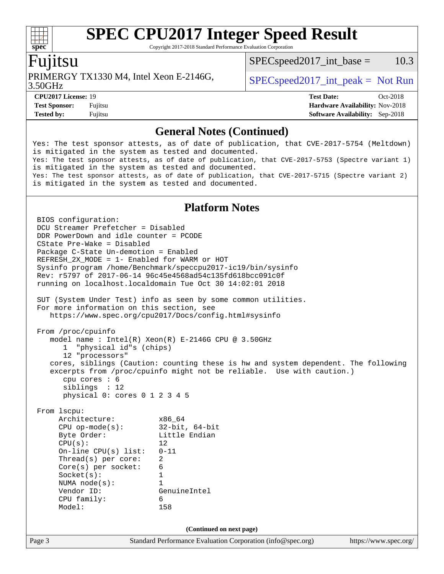Copyright 2017-2018 Standard Performance Evaluation Corporation

#### Fujitsu

PRIMERGY TX1330 M4, Intel Xeon E-2146G,  $\vert$  [SPECspeed2017\\_int\\_peak =](http://www.spec.org/auto/cpu2017/Docs/result-fields.html#SPECspeed2017intpeak) Not Run

 $SPEC speed2017\_int\_base = 10.3$ 

3.50GHz

**[CPU2017 License:](http://www.spec.org/auto/cpu2017/Docs/result-fields.html#CPU2017License)** 19 **[Test Date:](http://www.spec.org/auto/cpu2017/Docs/result-fields.html#TestDate)** Oct-2018 **[Test Sponsor:](http://www.spec.org/auto/cpu2017/Docs/result-fields.html#TestSponsor)** Fujitsu **[Hardware Availability:](http://www.spec.org/auto/cpu2017/Docs/result-fields.html#HardwareAvailability)** Nov-2018 **[Tested by:](http://www.spec.org/auto/cpu2017/Docs/result-fields.html#Testedby)** Fujitsu **[Software Availability:](http://www.spec.org/auto/cpu2017/Docs/result-fields.html#SoftwareAvailability)** Sep-2018

#### **[General Notes \(Continued\)](http://www.spec.org/auto/cpu2017/Docs/result-fields.html#GeneralNotes)**

Yes: The test sponsor attests, as of date of publication, that CVE-2017-5754 (Meltdown) is mitigated in the system as tested and documented. Yes: The test sponsor attests, as of date of publication, that CVE-2017-5753 (Spectre variant 1) is mitigated in the system as tested and documented. Yes: The test sponsor attests, as of date of publication, that CVE-2017-5715 (Spectre variant 2) is mitigated in the system as tested and documented.

#### **[Platform Notes](http://www.spec.org/auto/cpu2017/Docs/result-fields.html#PlatformNotes)**

Page 3 Standard Performance Evaluation Corporation [\(info@spec.org\)](mailto:info@spec.org) <https://www.spec.org/> BIOS configuration: DCU Streamer Prefetcher = Disabled DDR PowerDown and idle counter = PCODE CState Pre-Wake = Disabled Package C-State Un-demotion = Enabled REFRESH\_2X\_MODE = 1- Enabled for WARM or HOT Sysinfo program /home/Benchmark/speccpu2017-ic19/bin/sysinfo Rev: r5797 of 2017-06-14 96c45e4568ad54c135fd618bcc091c0f running on localhost.localdomain Tue Oct 30 14:02:01 2018 SUT (System Under Test) info as seen by some common utilities. For more information on this section, see <https://www.spec.org/cpu2017/Docs/config.html#sysinfo> From /proc/cpuinfo model name : Intel(R) Xeon(R) E-2146G CPU @ 3.50GHz 1 "physical id"s (chips) 12 "processors" cores, siblings (Caution: counting these is hw and system dependent. The following excerpts from /proc/cpuinfo might not be reliable. Use with caution.) cpu cores : 6 siblings : 12 physical 0: cores 0 1 2 3 4 5 From lscpu: Architecture: x86\_64 CPU op-mode(s): 32-bit, 64-bit Byte Order: Little Endian  $CPU(s):$  12 On-line CPU(s) list: 0-11 Thread(s) per core: 2 Core(s) per socket: 6 Socket(s): 1 NUMA node(s): 1 Vendor ID: GenuineIntel CPU family: 6 Model: 158 **(Continued on next page)**

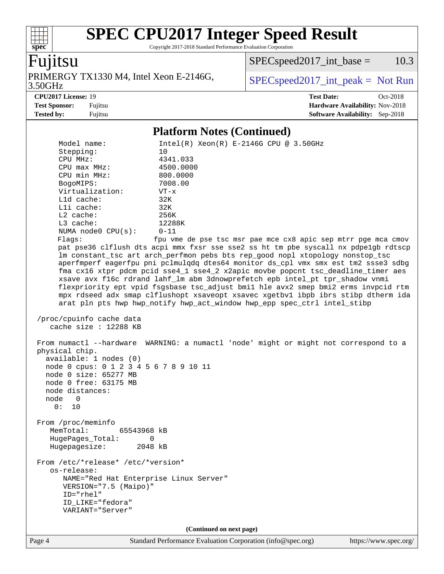Copyright 2017-2018 Standard Performance Evaluation Corporation

## Fujitsu

**[spec](http://www.spec.org/)**

3.50GHz PRIMERGY TX1330 M4, Intel Xeon E-2146G,  $SPEC speed2017\_int\_peak = Not Run$ 

 $SPECspeed2017\_int\_base = 10.3$ 

**[CPU2017 License:](http://www.spec.org/auto/cpu2017/Docs/result-fields.html#CPU2017License)** 19 **[Test Date:](http://www.spec.org/auto/cpu2017/Docs/result-fields.html#TestDate)** Oct-2018 **[Test Sponsor:](http://www.spec.org/auto/cpu2017/Docs/result-fields.html#TestSponsor)** Fujitsu **[Hardware Availability:](http://www.spec.org/auto/cpu2017/Docs/result-fields.html#HardwareAvailability)** Nov-2018 **[Tested by:](http://www.spec.org/auto/cpu2017/Docs/result-fields.html#Testedby)** Fujitsu **[Software Availability:](http://www.spec.org/auto/cpu2017/Docs/result-fields.html#SoftwareAvailability)** Sep-2018

#### **[Platform Notes \(Continued\)](http://www.spec.org/auto/cpu2017/Docs/result-fields.html#PlatformNotes)**

| Model name:                                                                                                                                                                   | $Intel(R) Xeon(R) E-2146G CPU @ 3.50GHz$                                             |  |  |  |  |
|-------------------------------------------------------------------------------------------------------------------------------------------------------------------------------|--------------------------------------------------------------------------------------|--|--|--|--|
| Stepping:                                                                                                                                                                     | 10                                                                                   |  |  |  |  |
| CPU MHz:                                                                                                                                                                      | 4341.033                                                                             |  |  |  |  |
| CPU max MHz:                                                                                                                                                                  | 4500.0000                                                                            |  |  |  |  |
| CPU min MHz:                                                                                                                                                                  | 800.0000                                                                             |  |  |  |  |
| BogoMIPS:                                                                                                                                                                     | 7008.00                                                                              |  |  |  |  |
| Virtualization:                                                                                                                                                               | $VT - x$                                                                             |  |  |  |  |
| L1d cache:                                                                                                                                                                    | 32K                                                                                  |  |  |  |  |
| Lli cache:                                                                                                                                                                    | 32K                                                                                  |  |  |  |  |
| L2 cache:                                                                                                                                                                     | 256K                                                                                 |  |  |  |  |
| L3 cache:                                                                                                                                                                     | 12288K                                                                               |  |  |  |  |
| NUMA node0 CPU(s):                                                                                                                                                            | $0 - 11$                                                                             |  |  |  |  |
| Flags:                                                                                                                                                                        | fpu vme de pse tsc msr pae mce cx8 apic sep mtrr pge mca cmov                        |  |  |  |  |
|                                                                                                                                                                               | pat pse36 clflush dts acpi mmx fxsr sse sse2 ss ht tm pbe syscall nx pdpelgb rdtscp  |  |  |  |  |
|                                                                                                                                                                               | lm constant_tsc art arch_perfmon pebs bts rep_good nopl xtopology nonstop_tsc        |  |  |  |  |
|                                                                                                                                                                               | aperfmperf eagerfpu pni pclmulqdq dtes64 monitor ds_cpl vmx smx est tm2 ssse3 sdbg   |  |  |  |  |
|                                                                                                                                                                               | fma cx16 xtpr pdcm pcid sse4_1 sse4_2 x2apic movbe popcnt tsc_deadline_timer aes     |  |  |  |  |
|                                                                                                                                                                               | xsave avx f16c rdrand lahf_lm abm 3dnowprefetch epb intel_pt tpr_shadow vnmi         |  |  |  |  |
|                                                                                                                                                                               | flexpriority ept vpid fsgsbase tsc_adjust bmil hle avx2 smep bmi2 erms invpcid rtm   |  |  |  |  |
|                                                                                                                                                                               | mpx rdseed adx smap clflushopt xsaveopt xsavec xgetbvl ibpb ibrs stibp dtherm ida    |  |  |  |  |
|                                                                                                                                                                               | arat pln pts hwp hwp_notify hwp_act_window hwp_epp spec_ctrl intel_stibp             |  |  |  |  |
|                                                                                                                                                                               |                                                                                      |  |  |  |  |
| /proc/cpuinfo cache data                                                                                                                                                      |                                                                                      |  |  |  |  |
| cache size : 12288 KB                                                                                                                                                         |                                                                                      |  |  |  |  |
|                                                                                                                                                                               |                                                                                      |  |  |  |  |
| physical chip.<br>available: 1 nodes (0)<br>node 0 cpus: 0 1 2 3 4 5 6 7 8 9 10 11<br>node 0 size: 65277 MB<br>node 0 free: 63175 MB<br>node distances:<br>node<br>0<br>0: 10 | From numactl --hardware WARNING: a numactl 'node' might or might not correspond to a |  |  |  |  |
| From /proc/meminfo                                                                                                                                                            |                                                                                      |  |  |  |  |
| MemTotal:<br>65543968 kB                                                                                                                                                      |                                                                                      |  |  |  |  |
| HugePages Total:                                                                                                                                                              | 0                                                                                    |  |  |  |  |
| Hugepagesize:                                                                                                                                                                 | 2048 kB                                                                              |  |  |  |  |
|                                                                                                                                                                               |                                                                                      |  |  |  |  |
| From /etc/*release* /etc/*version*<br>os-release:                                                                                                                             |                                                                                      |  |  |  |  |
| NAME="Red Hat Enterprise Linux Server"                                                                                                                                        |                                                                                      |  |  |  |  |
| VERSION="7.5 (Maipo)"                                                                                                                                                         |                                                                                      |  |  |  |  |
| ID="rhel"                                                                                                                                                                     |                                                                                      |  |  |  |  |
| ID_LIKE="fedora"                                                                                                                                                              |                                                                                      |  |  |  |  |
| VARIANT="Server"                                                                                                                                                              |                                                                                      |  |  |  |  |
|                                                                                                                                                                               |                                                                                      |  |  |  |  |
| (Continued on next page)                                                                                                                                                      |                                                                                      |  |  |  |  |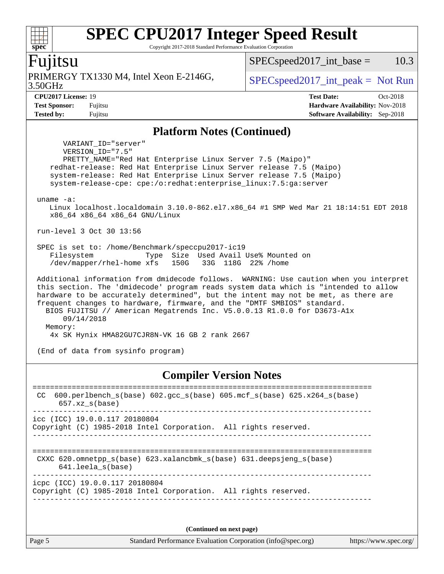Copyright 2017-2018 Standard Performance Evaluation Corporation

#### Fujitsu

**[spec](http://www.spec.org/)**

 $+\ +$ 

3.50GHz PRIMERGY TX1330 M4, Intel Xeon E-2146G,  $\vert$  [SPECspeed2017\\_int\\_peak =](http://www.spec.org/auto/cpu2017/Docs/result-fields.html#SPECspeed2017intpeak) Not Run

 $SPEC speed2017\_int\_base = 10.3$ 

**[Tested by:](http://www.spec.org/auto/cpu2017/Docs/result-fields.html#Testedby)** Fujitsu **[Software Availability:](http://www.spec.org/auto/cpu2017/Docs/result-fields.html#SoftwareAvailability)** Sep-2018

**[CPU2017 License:](http://www.spec.org/auto/cpu2017/Docs/result-fields.html#CPU2017License)** 19 **[Test Date:](http://www.spec.org/auto/cpu2017/Docs/result-fields.html#TestDate)** Oct-2018 **[Test Sponsor:](http://www.spec.org/auto/cpu2017/Docs/result-fields.html#TestSponsor)** Fujitsu **[Hardware Availability:](http://www.spec.org/auto/cpu2017/Docs/result-fields.html#HardwareAvailability)** Nov-2018

#### **[Platform Notes \(Continued\)](http://www.spec.org/auto/cpu2017/Docs/result-fields.html#PlatformNotes)**

 VARIANT\_ID="server" VERSION\_ID="7.5" PRETTY\_NAME="Red Hat Enterprise Linux Server 7.5 (Maipo)" redhat-release: Red Hat Enterprise Linux Server release 7.5 (Maipo) system-release: Red Hat Enterprise Linux Server release 7.5 (Maipo) system-release-cpe: cpe:/o:redhat:enterprise\_linux:7.5:ga:server uname -a: Linux localhost.localdomain 3.10.0-862.el7.x86\_64 #1 SMP Wed Mar 21 18:14:51 EDT 2018 x86\_64 x86\_64 x86\_64 GNU/Linux run-level 3 Oct 30 13:56 SPEC is set to: /home/Benchmark/speccpu2017-ic19 Filesystem Type Size Used Avail Use% Mounted on /dev/mapper/rhel-home xfs 150G 33G 118G 22% /home Additional information from dmidecode follows. WARNING: Use caution when you interpret this section. The 'dmidecode' program reads system data which is "intended to allow hardware to be accurately determined", but the intent may not be met, as there are frequent changes to hardware, firmware, and the "DMTF SMBIOS" standard. BIOS FUJITSU // American Megatrends Inc. V5.0.0.13 R1.0.0 for D3673-A1x 09/14/2018 Memory: 4x SK Hynix HMA82GU7CJR8N-VK 16 GB 2 rank 2667

(End of data from sysinfo program)

#### **[Compiler Version Notes](http://www.spec.org/auto/cpu2017/Docs/result-fields.html#CompilerVersionNotes)**

============================================================================== CC 600.perlbench\_s(base) 602.gcc\_s(base) 605.mcf\_s(base) 625.x264\_s(base) 657.xz\_s(base) ----------------------------------------------------------------------------- icc (ICC) 19.0.0.117 20180804 Copyright (C) 1985-2018 Intel Corporation. All rights reserved. ------------------------------------------------------------------------------ ============================================================================== CXXC 620.omnetpp\_s(base) 623.xalancbmk\_s(base) 631.deepsjeng\_s(base) 641.leela\_s(base) ----------------------------------------------------------------------------- icpc (ICC) 19.0.0.117 20180804 Copyright (C) 1985-2018 Intel Corporation. All rights reserved. ------------------------------------------------------------------------------

**(Continued on next page)**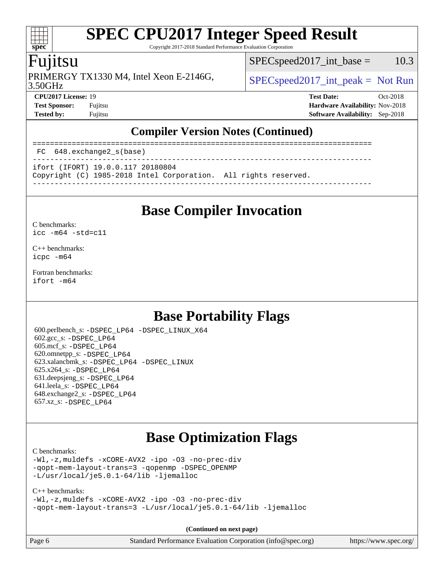Copyright 2017-2018 Standard Performance Evaluation Corporation

### Fujitsu

**[spec](http://www.spec.org/)**

 $+\ +$ 

PRIMERGY TX1330 M4, Intel Xeon E-2146G,  $\vert$  [SPECspeed2017\\_int\\_peak =](http://www.spec.org/auto/cpu2017/Docs/result-fields.html#SPECspeed2017intpeak) Not Run

 $SPEC speed2017\_int\_base = 10.3$ 

3.50GHz

**[CPU2017 License:](http://www.spec.org/auto/cpu2017/Docs/result-fields.html#CPU2017License)** 19 **[Test Date:](http://www.spec.org/auto/cpu2017/Docs/result-fields.html#TestDate)** Oct-2018 **[Test Sponsor:](http://www.spec.org/auto/cpu2017/Docs/result-fields.html#TestSponsor)** Fujitsu **[Hardware Availability:](http://www.spec.org/auto/cpu2017/Docs/result-fields.html#HardwareAvailability)** Nov-2018 **[Tested by:](http://www.spec.org/auto/cpu2017/Docs/result-fields.html#Testedby)** Fujitsu **[Software Availability:](http://www.spec.org/auto/cpu2017/Docs/result-fields.html#SoftwareAvailability)** Sep-2018

#### **[Compiler Version Notes \(Continued\)](http://www.spec.org/auto/cpu2017/Docs/result-fields.html#CompilerVersionNotes)**

============================================================================== FC 648.exchange2\_s(base) ------------------------------------------------------------------------------

ifort (IFORT) 19.0.0.117 20180804

Copyright (C) 1985-2018 Intel Corporation. All rights reserved.

------------------------------------------------------------------------------

### **[Base Compiler Invocation](http://www.spec.org/auto/cpu2017/Docs/result-fields.html#BaseCompilerInvocation)**

[C benchmarks](http://www.spec.org/auto/cpu2017/Docs/result-fields.html#Cbenchmarks):

[icc -m64 -std=c11](http://www.spec.org/cpu2017/results/res2018q4/cpu2017-20181113-09809.flags.html#user_CCbase_intel_icc_64bit_c11_33ee0cdaae7deeeab2a9725423ba97205ce30f63b9926c2519791662299b76a0318f32ddfffdc46587804de3178b4f9328c46fa7c2b0cd779d7a61945c91cd35)

[C++ benchmarks:](http://www.spec.org/auto/cpu2017/Docs/result-fields.html#CXXbenchmarks) [icpc -m64](http://www.spec.org/cpu2017/results/res2018q4/cpu2017-20181113-09809.flags.html#user_CXXbase_intel_icpc_64bit_4ecb2543ae3f1412ef961e0650ca070fec7b7afdcd6ed48761b84423119d1bf6bdf5cad15b44d48e7256388bc77273b966e5eb805aefd121eb22e9299b2ec9d9)

[Fortran benchmarks](http://www.spec.org/auto/cpu2017/Docs/result-fields.html#Fortranbenchmarks): [ifort -m64](http://www.spec.org/cpu2017/results/res2018q4/cpu2017-20181113-09809.flags.html#user_FCbase_intel_ifort_64bit_24f2bb282fbaeffd6157abe4f878425411749daecae9a33200eee2bee2fe76f3b89351d69a8130dd5949958ce389cf37ff59a95e7a40d588e8d3a57e0c3fd751)

### **[Base Portability Flags](http://www.spec.org/auto/cpu2017/Docs/result-fields.html#BasePortabilityFlags)**

 600.perlbench\_s: [-DSPEC\\_LP64](http://www.spec.org/cpu2017/results/res2018q4/cpu2017-20181113-09809.flags.html#b600.perlbench_s_basePORTABILITY_DSPEC_LP64) [-DSPEC\\_LINUX\\_X64](http://www.spec.org/cpu2017/results/res2018q4/cpu2017-20181113-09809.flags.html#b600.perlbench_s_baseCPORTABILITY_DSPEC_LINUX_X64) 602.gcc\_s: [-DSPEC\\_LP64](http://www.spec.org/cpu2017/results/res2018q4/cpu2017-20181113-09809.flags.html#suite_basePORTABILITY602_gcc_s_DSPEC_LP64) 605.mcf\_s: [-DSPEC\\_LP64](http://www.spec.org/cpu2017/results/res2018q4/cpu2017-20181113-09809.flags.html#suite_basePORTABILITY605_mcf_s_DSPEC_LP64) 620.omnetpp\_s: [-DSPEC\\_LP64](http://www.spec.org/cpu2017/results/res2018q4/cpu2017-20181113-09809.flags.html#suite_basePORTABILITY620_omnetpp_s_DSPEC_LP64) 623.xalancbmk\_s: [-DSPEC\\_LP64](http://www.spec.org/cpu2017/results/res2018q4/cpu2017-20181113-09809.flags.html#suite_basePORTABILITY623_xalancbmk_s_DSPEC_LP64) [-DSPEC\\_LINUX](http://www.spec.org/cpu2017/results/res2018q4/cpu2017-20181113-09809.flags.html#b623.xalancbmk_s_baseCXXPORTABILITY_DSPEC_LINUX) 625.x264\_s: [-DSPEC\\_LP64](http://www.spec.org/cpu2017/results/res2018q4/cpu2017-20181113-09809.flags.html#suite_basePORTABILITY625_x264_s_DSPEC_LP64) 631.deepsjeng\_s: [-DSPEC\\_LP64](http://www.spec.org/cpu2017/results/res2018q4/cpu2017-20181113-09809.flags.html#suite_basePORTABILITY631_deepsjeng_s_DSPEC_LP64) 641.leela\_s: [-DSPEC\\_LP64](http://www.spec.org/cpu2017/results/res2018q4/cpu2017-20181113-09809.flags.html#suite_basePORTABILITY641_leela_s_DSPEC_LP64) 648.exchange2\_s: [-DSPEC\\_LP64](http://www.spec.org/cpu2017/results/res2018q4/cpu2017-20181113-09809.flags.html#suite_basePORTABILITY648_exchange2_s_DSPEC_LP64) 657.xz\_s: [-DSPEC\\_LP64](http://www.spec.org/cpu2017/results/res2018q4/cpu2017-20181113-09809.flags.html#suite_basePORTABILITY657_xz_s_DSPEC_LP64)

### **[Base Optimization Flags](http://www.spec.org/auto/cpu2017/Docs/result-fields.html#BaseOptimizationFlags)**

[C benchmarks](http://www.spec.org/auto/cpu2017/Docs/result-fields.html#Cbenchmarks):

```
-Wl,-z,muldefs -xCORE-AVX2 -ipo -O3 -no-prec-div
-qopt-mem-layout-trans=3 -qopenmp -DSPEC_OPENMP
-L/usr/local/je5.0.1-64/lib -ljemalloc
```

```
C++ benchmarks: 
-Wl,-z,muldefs -xCORE-AVX2 -ipo -O3 -no-prec-div
-qopt-mem-layout-trans=3 -L/usr/local/je5.0.1-64/lib -ljemalloc
```
**(Continued on next page)**

Page 6 Standard Performance Evaluation Corporation [\(info@spec.org\)](mailto:info@spec.org) <https://www.spec.org/>